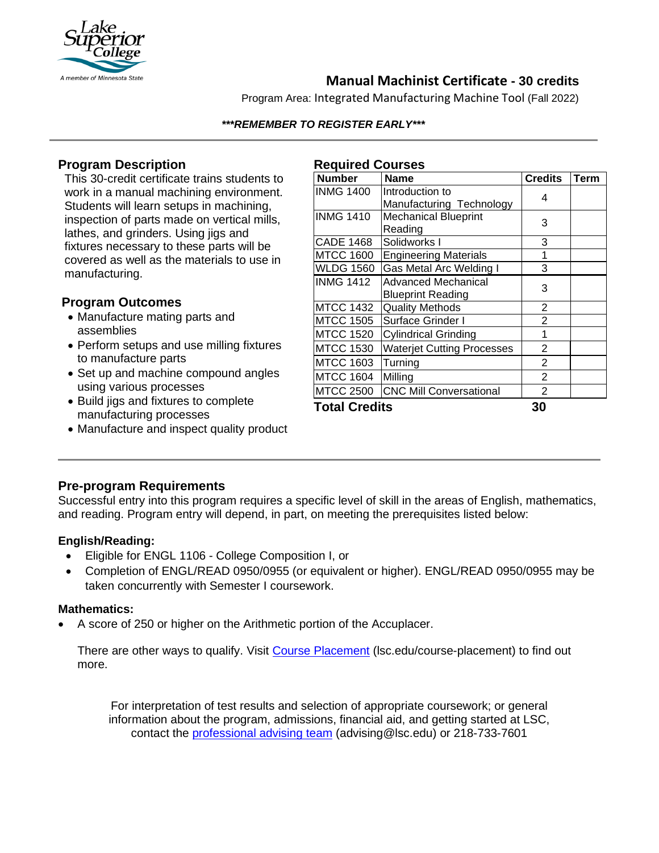

# **Manual Machinist Certificate - 30 credits**

Program Area: Integrated Manufacturing Machine Tool (Fall 2022)

#### *\*\*\*REMEMBER TO REGISTER EARLY\*\*\**

### **Program Description**

This 30-credit certificate trains students to work in a manual machining environment. Students will learn setups in machining, inspection of parts made on vertical mills, lathes, and grinders. Using jigs and fixtures necessary to these parts will be covered as well as the materials to use in manufacturing.

#### **Program Outcomes**

- Manufacture mating parts and assemblies
- Perform setups and use milling fixtures to manufacture parts
- Set up and machine compound angles using various processes
- Build jigs and fixtures to complete manufacturing processes
- Manufacture and inspect quality product

#### **Required Courses**

| <b>Number</b>        | <b>Name</b>                                 | <b>Credits</b> | <b>Term</b> |
|----------------------|---------------------------------------------|----------------|-------------|
| <b>INMG 1400</b>     | Introduction to<br>Manufacturing Technology | 4              |             |
| <b>INMG 1410</b>     | <b>Mechanical Blueprint</b><br>Reading      | 3              |             |
| CADE 1468            | Solidworks I                                | 3              |             |
| <b>MTCC 1600</b>     | <b>Engineering Materials</b>                | 1              |             |
| <b>WLDG 1560</b>     | Gas Metal Arc Welding I                     | 3              |             |
| <b>INMG 1412</b>     | Advanced Mechanical<br>Blueprint Reading    | 3              |             |
| <b>MTCC 1432</b>     | <b>Quality Methods</b>                      | 2              |             |
| <b>MTCC 1505</b>     | Surface Grinder I                           | $\overline{2}$ |             |
| <b>MTCC 1520</b>     | <b>Cylindrical Grinding</b>                 | 1              |             |
| <b>MTCC 1530</b>     | <b>Waterjet Cutting Processes</b>           | $\overline{2}$ |             |
| <b>MTCC 1603</b>     | Turning                                     | 2              |             |
| <b>MTCC 1604</b>     | Milling                                     | $\overline{2}$ |             |
| <b>MTCC 2500</b>     | <b>CNC Mill Conversational</b>              | $\overline{2}$ |             |
| <b>Total Credits</b> |                                             | 30             |             |

## **Pre-program Requirements**

Successful entry into this program requires a specific level of skill in the areas of English, mathematics, and reading. Program entry will depend, in part, on meeting the prerequisites listed below:

#### **English/Reading:**

- Eligible for ENGL 1106 College Composition I, or
- Completion of ENGL/READ 0950/0955 (or equivalent or higher). ENGL/READ 0950/0955 may be taken concurrently with Semester I coursework.

#### **Mathematics:**

• A score of 250 or higher on the Arithmetic portion of the Accuplacer.

There are other ways to qualify. Visit [Course Placement](https://www.lsc.edu/course-placement/) (Isc.edu/course-placement) to find out more.

For interpretation of test results and selection of appropriate coursework; or general information about the program, admissions, financial aid, and getting started at LSC, contact the [professional advising team](mailto:advising@lsc.edu) (advising@lsc.edu) or 218-733-7601